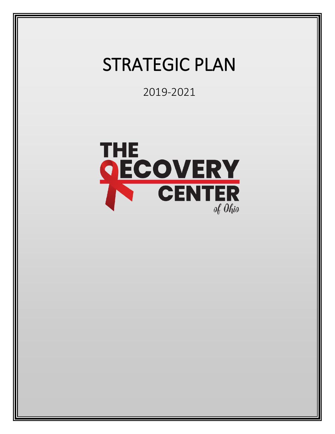# STRATEGIC PLAN

2019-2021

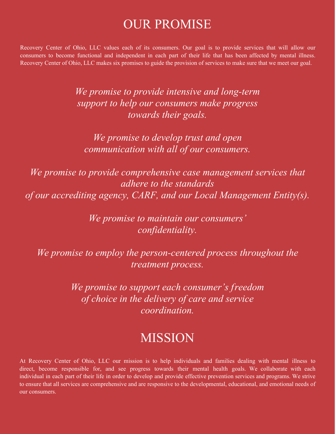### OUR PROMISE

Recovery Center of Ohio, LLC values each of its consumers. Our goal is to provide services that will allow our consumers to become functional and independent in each part of their life that has been affected by mental illness. Recovery Center of Ohio, LLC makes six promises to guide the provision of services to make sure that we meet our goal.

> *We promise to provide intensive and long-term support to help our consumers make progress towards their goals.*

*We promise to develop trust and open communication with all of our consumers.*

*We promise to provide comprehensive case management services that adhere to the standards of our accrediting agency, CARF, and our Local Management Entity(s).*

> *We promise to maintain our consumers' confidentiality.*

*We promise to employ the person-centered process throughout the treatment process.*

> *We promise to support each consumer's freedom of choice in the delivery of care and service coordination.*

### **MISSION**

At Recovery Center of Ohio, LLC our mission is to help individuals and families dealing with mental illness to direct, become responsible for, and see progress towards their mental health goals. We collaborate with each individual in each part of their life in order to develop and provide effective prevention services and programs. We strive to ensure that all services are comprehensive and are responsive to the developmental, educational, and emotional needs of our consumers.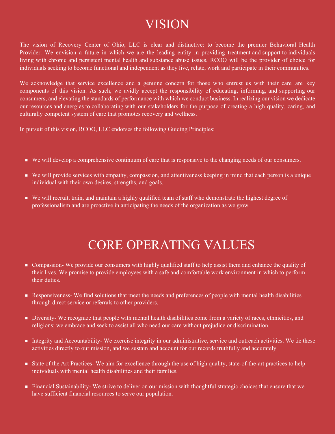## VISION

The vision of Recovery Center of Ohio, LLC is clear and distinctive: to become the premier Behavioral Health Provider. We envision a future in which we are the leading entity in providing treatment and support to individuals living with chronic and persistent mental health and substance abuse issues. RCOO will be the provider of choice for individuals seeking to become functional and independent as they live, relate, work and participate in their communities.

We acknowledge that service excellence and a genuine concern for those who entrust us with their care are key components of this vision. As such, we avidly accept the responsibility of educating, informing, and supporting our consumers, and elevating the standards of performance with which we conduct business. In realizing our vision we dedicate our resources and energies to collaborating with our stakeholders for the purpose of creating a high quality, caring, and culturally competent system of care that promotes recovery and wellness.

In pursuit of this vision, RCOO, LLC endorses the following Guiding Principles:

- We will develop a comprehensive continuum of care that is responsive to the changing needs of our consumers.
- We will provide services with empathy, compassion, and attentiveness keeping in mind that each person is a unique individual with their own desires, strengths, and goals.
- We will recruit, train, and maintain a highly qualified team of staff who demonstrate the highest degree of professionalism and are proactive in anticipating the needs of the organization as we grow.

# CORE OPERATING VALUES

- Compassion- We provide our consumers with highly qualified staff to help assist them and enhance the quality of their lives. We promise to provide employees with a safe and comfortable work environment in which to perform their duties.
- Responsiveness- We find solutions that meet the needs and preferences of people with mental health disabilities through direct service or referrals to other providers.
- Diversity- We recognize that people with mental health disabilities come from a variety of races, ethnicities, and religions; we embrace and seek to assist all who need our care without prejudice or discrimination.
- Integrity and Accountability- We exercise integrity in our administrative, service and outreach activities. We tie these activities directly to our mission, and we sustain and account for our records truthfully and accurately.
- State of the Art Practices- We aim for excellence through the use of high quality, state-of-the-art practices to help individuals with mental health disabilities and their families.
- Financial Sustainability- We strive to deliver on our mission with thoughtful strategic choices that ensure that we have sufficient financial resources to serve our population.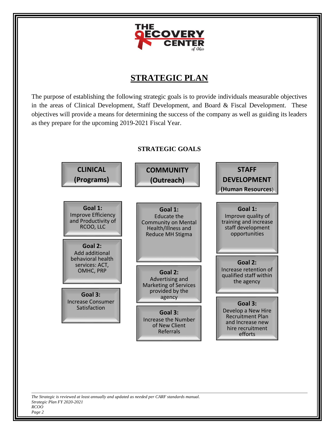

### **STRATEGIC PLAN**

The purpose of establishing the following strategic goals is to provide individuals measurable objectives in the areas of Clinical Development, Staff Development, and Board & Fiscal Development. These objectives will provide a means for determining the success of the company as well as guiding its leaders as they prepare for the upcoming 2019-2021 Fiscal Year.



*The Strategic is reviewed at least annually and updated as needed per CARF standards manual. Strategic Plan FY 2020-2021 RCOO Page 2*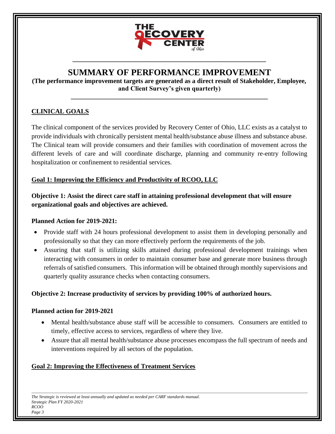

### **SUMMARY OF PERFORMANCE IMPROVEMENT**

**\_\_\_\_\_\_\_\_\_\_\_\_\_\_\_\_\_\_\_\_\_\_\_\_\_\_\_\_\_\_\_\_\_\_\_\_\_\_\_\_\_\_\_\_\_\_\_\_\_\_\_\_\_\_\_\_\_\_\_**

**(The performance improvement targets are generated as a direct result of Stakeholder, Employee, and Client Survey's given quarterly)**

**\_\_\_\_\_\_\_\_\_\_\_\_\_\_\_\_\_\_\_\_\_\_\_\_\_\_\_\_\_\_\_\_\_\_\_\_\_\_\_\_\_\_\_\_\_\_\_\_\_\_\_\_\_\_\_\_\_\_\_\_**

#### **CLINICAL GOALS**

The clinical component of the services provided by Recovery Center of Ohio, LLC exists as a catalyst to provide individuals with chronically persistent mental health/substance abuse illness and substance abuse. The Clinical team will provide consumers and their families with coordination of movement across the different levels of care and will coordinate discharge, planning and community re-entry following hospitalization or confinement to residential services.

#### **Goal 1: Improving the Efficiency and Productivity of RCOO, LLC**

**Objective 1: Assist the direct care staff in attaining professional development that will ensure organizational goals and objectives are achieved.**

#### **Planned Action for 2019-2021:**

- Provide staff with 24 hours professional development to assist them in developing personally and professionally so that they can more effectively perform the requirements of the job.
- Assuring that staff is utilizing skills attained during professional development trainings when interacting with consumers in order to maintain consumer base and generate more business through referrals of satisfied consumers. This information will be obtained through monthly supervisions and quarterly quality assurance checks when contacting consumers.

#### **Objective 2: Increase productivity of services by providing 100% of authorized hours.**

#### **Planned action for 2019-2021**

- Mental health/substance abuse staff will be accessible to consumers. Consumers are entitled to timely, effective access to services, regardless of where they live.
- Assure that all mental health/substance abuse processes encompass the full spectrum of needs and interventions required by all sectors of the population.

#### **Goal 2: Improving the Effectiveness of Treatment Services**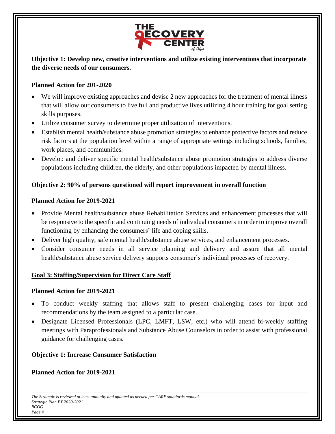

**Objective 1: Develop new, creative interventions and utilize existing interventions that incorporate the diverse needs of our consumers.**

#### **Planned Action for 201-2020**

- We will improve existing approaches and devise 2 new approaches for the treatment of mental illness that will allow our consumers to live full and productive lives utilizing 4 hour training for goal setting skills purposes.
- Utilize consumer survey to determine proper utilization of interventions.
- Establish mental health/substance abuse promotion strategies to enhance protective factors and reduce risk factors at the population level within a range of appropriate settings including schools, families, work places, and communities.
- Develop and deliver specific mental health/substance abuse promotion strategies to address diverse populations including children, the elderly, and other populations impacted by mental illness.

#### **Objective 2: 90% of persons questioned will report improvement in overall function**

#### **Planned Action for 2019-2021**

- Provide Mental health/substance abuse Rehabilitation Services and enhancement processes that will be responsive to the specific and continuing needs of individual consumers in order to improve overall functioning by enhancing the consumers' life and coping skills.
- Deliver high quality, safe mental health/substance abuse services, and enhancement processes.
- Consider consumer needs in all service planning and delivery and assure that all mental health/substance abuse service delivery supports consumer's individual processes of recovery.

#### **Goal 3: Staffing/Supervision for Direct Care Staff**

#### **Planned Action for 2019-2021**

- To conduct weekly staffing that allows staff to present challenging cases for input and recommendations by the team assigned to a particular case.
- Designate Licensed Professionals (LPC, LMFT, LSW, etc.) who will attend bi-weekly staffing meetings with Paraprofessionals and Substance Abuse Counselors in order to assist with professional guidance for challenging cases.

#### **Objective 1: Increase Consumer Satisfaction**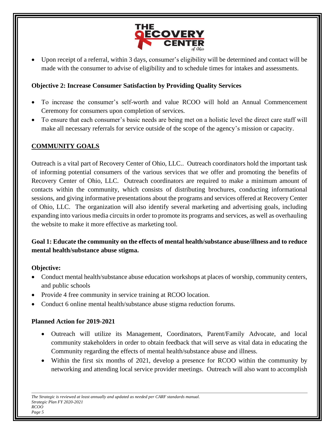

• Upon receipt of a referral, within 3 days, consumer's eligibility will be determined and contact will be made with the consumer to advise of eligibility and to schedule times for intakes and assessments.

#### **Objective 2: Increase Consumer Satisfaction by Providing Quality Services**

- To increase the consumer's self-worth and value RCOO will hold an Annual Commencement Ceremony for consumers upon completion of services.
- To ensure that each consumer's basic needs are being met on a holistic level the direct care staff will make all necessary referrals for service outside of the scope of the agency's mission or capacity.

#### **COMMUNITY GOALS**

Outreach is a vital part of Recovery Center of Ohio, LLC.. Outreach coordinators hold the important task of informing potential consumers of the various services that we offer and promoting the benefits of Recovery Center of Ohio, LLC. Outreach coordinators are required to make a minimum amount of contacts within the community, which consists of distributing brochures, conducting informational sessions, and giving informative presentations about the programs and services offered at Recovery Center of Ohio, LLC. The organization will also identify several marketing and advertising goals, including expanding into various media circuits in order to promote its programs and services, as well as overhauling the website to make it more effective as marketing tool.

#### **Goal 1: Educate the community on the effects of mental health/substance abuse/illness and to reduce mental health/substance abuse stigma.**

#### **Objective:**

- Conduct mental health/substance abuse education workshops at places of worship, community centers, and public schools
- Provide 4 free community in service training at RCOO location.
- Conduct 6 online mental health/substance abuse stigma reduction forums.

- Outreach will utilize its Management, Coordinators, Parent/Family Advocate, and local community stakeholders in order to obtain feedback that will serve as vital data in educating the Community regarding the effects of mental health/substance abuse and illness.
- Within the first six months of 2021, develop a presence for RCOO within the community by networking and attending local service provider meetings. Outreach will also want to accomplish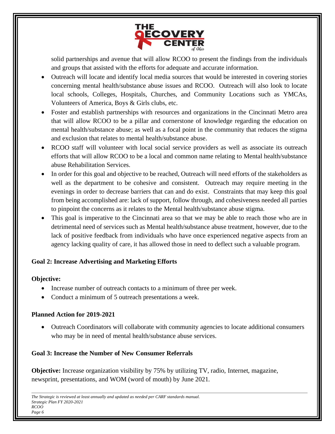

solid partnerships and avenue that will allow RCOO to present the findings from the individuals and groups that assisted with the efforts for adequate and accurate information.

- Outreach will locate and identify local media sources that would be interested in covering stories concerning mental health/substance abuse issues and RCOO. Outreach will also look to locate local schools, Colleges, Hospitals, Churches, and Community Locations such as YMCAs, Volunteers of America, Boys & Girls clubs, etc.
- Foster and establish partnerships with resources and organizations in the Cincinnati Metro area that will allow RCOO to be a pillar and cornerstone of knowledge regarding the education on mental health/substance abuse; as well as a focal point in the community that reduces the stigma and exclusion that relates to mental health/substance abuse.
- RCOO staff will volunteer with local social service providers as well as associate its outreach efforts that will allow RCOO to be a local and common name relating to Mental health/substance abuse Rehabilitation Services.
- In order for this goal and objective to be reached, Outreach will need efforts of the stakeholders as well as the department to be cohesive and consistent. Outreach may require meeting in the evenings in order to decrease barriers that can and do exist. Constraints that may keep this goal from being accomplished are: lack of support, follow through, and cohesiveness needed all parties to pinpoint the concerns as it relates to the Mental health/substance abuse stigma.
- This goal is imperative to the Cincinnati area so that we may be able to reach those who are in detrimental need of services such as Mental health/substance abuse treatment, however, due to the lack of positive feedback from individuals who have once experienced negative aspects from an agency lacking quality of care, it has allowed those in need to deflect such a valuable program.

#### **Goal 2: Increase Advertising and Marketing Efforts**

#### **Objective:**

- Increase number of outreach contacts to a minimum of three per week.
- Conduct a minimum of 5 outreach presentations a week.

#### **Planned Action for 2019-2021**

• Outreach Coordinators will collaborate with community agencies to locate additional consumers who may be in need of mental health/substance abuse services.

#### **Goal 3: Increase the Number of New Consumer Referrals**

**Objective:** Increase organization visibility by 75% by utilizing TV, radio, Internet, magazine, newsprint, presentations, and WOM (word of mouth) by June 2021.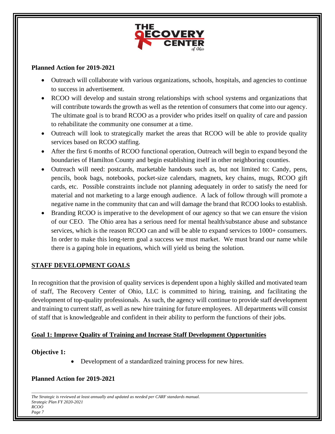

#### **Planned Action for 2019-2021**

- Outreach will collaborate with various organizations, schools, hospitals, and agencies to continue to success in advertisement.
- RCOO will develop and sustain strong relationships with school systems and organizations that will contribute towards the growth as well as the retention of consumers that come into our agency. The ultimate goal is to brand RCOO as a provider who prides itself on quality of care and passion to rehabilitate the community one consumer at a time.
- Outreach will look to strategically market the areas that RCOO will be able to provide quality services based on RCOO staffing.
- After the first 6 months of RCOO functional operation, Outreach will begin to expand beyond the boundaries of Hamilton County and begin establishing itself in other neighboring counties.
- Outreach will need: postcards, marketable handouts such as, but not limited to: Candy, pens, pencils, book bags, notebooks, pocket-size calendars, magnets, key chains, mugs, RCOO gift cards, etc. Possible constraints include not planning adequately in order to satisfy the need for material and not marketing to a large enough audience. A lack of follow through will promote a negative name in the community that can and will damage the brand that RCOO looks to establish.
- Branding RCOO is imperative to the development of our agency so that we can ensure the vision of our CEO. The Ohio area has a serious need for mental health/substance abuse and substance services, which is the reason RCOO can and will be able to expand services to 1000+ consumers. In order to make this long-term goal a success we must market. We must brand our name while there is a gaping hole in equations, which will yield us being the solution.

#### **STAFF DEVELOPMENT GOALS**

In recognition that the provision of quality services is dependent upon a highly skilled and motivated team of staff, The Recovery Center of Ohio, LLC is committed to hiring, training, and facilitating the development of top-quality professionals. As such, the agency will continue to provide staff development and training to current staff, as well as new hire training for future employees. All departments will consist of staff that is knowledgeable and confident in their ability to perform the functions of their jobs.

#### **Goal 1: Improve Quality of Training and Increase Staff Development Opportunities**

#### **Objective 1:**

• Development of a standardized training process for new hires.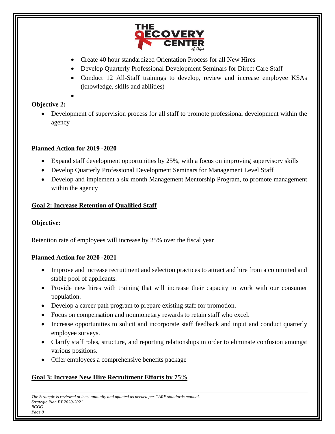

- Create 40 hour standardized Orientation Process for all New Hires
- Develop Quarterly Professional Development Seminars for Direct Care Staff
- Conduct 12 All-Staff trainings to develop, review and increase employee KSAs (knowledge, skills and abilities)

#### **Objective 2:**

• Development of supervision process for all staff to promote professional development within the agency

#### **Planned Action for 2019 -2020**

•

- Expand staff development opportunities by 25%, with a focus on improving supervisory skills
- Develop Quarterly Professional Development Seminars for Management Level Staff
- Develop and implement a six month Management Mentorship Program, to promote management within the agency

#### **Goal 2: Increase Retention of Qualified Staff**

#### **Objective:**

Retention rate of employees will increase by 25% over the fiscal year

#### **Planned Action for 2020 -2021**

- Improve and increase recruitment and selection practices to attract and hire from a committed and stable pool of applicants.
- Provide new hires with training that will increase their capacity to work with our consumer population.
- Develop a career path program to prepare existing staff for promotion.
- Focus on compensation and nonmonetary rewards to retain staff who excel.
- Increase opportunities to solicit and incorporate staff feedback and input and conduct quarterly employee surveys.
- Clarify staff roles, structure, and reporting relationships in order to eliminate confusion amongst various positions.
- Offer employees a comprehensive benefits package

#### **Goal 3: Increase New Hire Recruitment Efforts by 75%**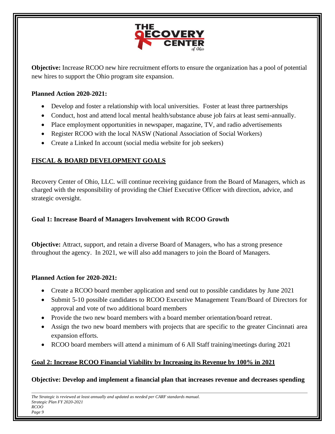

**Objective:** Increase RCOO new hire recruitment efforts to ensure the organization has a pool of potential new hires to support the Ohio program site expansion.

#### **Planned Action 2020-2021:**

- Develop and foster a relationship with local universities. Foster at least three partnerships
- Conduct, host and attend local mental health/substance abuse job fairs at least semi-annually.
- Place employment opportunities in newspaper, magazine, TV, and radio advertisements
- Register RCOO with the local NASW (National Association of Social Workers)
- Create a Linked In account (social media website for job seekers)

#### **FISCAL & BOARD DEVELOPMENT GOALS**

Recovery Center of Ohio, LLC. will continue receiving guidance from the Board of Managers, which as charged with the responsibility of providing the Chief Executive Officer with direction, advice, and strategic oversight.

#### **Goal 1: Increase Board of Managers Involvement with RCOO Growth**

**Objective:** Attract, support, and retain a diverse Board of Managers, who has a strong presence throughout the agency. In 2021, we will also add managers to join the Board of Managers.

#### **Planned Action for 2020-2021:**

- Create a RCOO board member application and send out to possible candidates by June 2021
- Submit 5-10 possible candidates to RCOO Executive Management Team/Board of Directors for approval and vote of two additional board members
- Provide the two new board members with a board member orientation/board retreat.
- Assign the two new board members with projects that are specific to the greater Cincinnati area expansion efforts.
- RCOO board members will attend a minimum of 6 All Staff training/meetings during 2021

#### **Goal 2: Increase RCOO Financial Viability by Increasing its Revenue by 100% in 2021**

#### **Objective: Develop and implement a financial plan that increases revenue and decreases spending**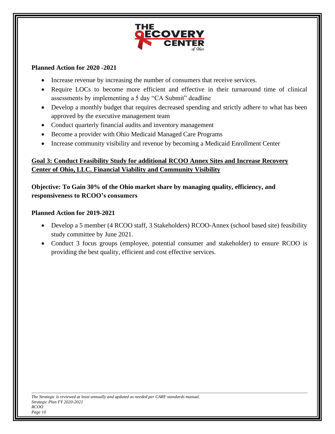

#### **Planned Action for 2020 -2021**

- Increase revenue by increasing the number of consumers that receive services.
- Require LOCs to become more efficient and effective in their turnaround time of clinical assessments by implementing a 5 day "CA Submit" deadline
- Develop a monthly budget that requires decreased spending and strictly adhere to what has been approved by the executive management team
- Conduct quarterly financial audits and inventory management
- Become a provider with Ohio Medicaid Managed Care Programs
- Increase community visibility and revenue by becoming a Medicaid Enrollment Center

#### **Goal 3: Conduct Feasibility Study for additional RCOO Annex Sites and Increase Recovery Center of Ohio, LLC. Financial Viability and Community Visibility**

**Objective: To Gain 30% of the Ohio market share by managing quality, efficiency, and responsiveness to RCOO's consumers**

- Develop a 5 member (4 RCOO staff, 3 Stakeholders) RCOO-Annex (school based site) feasibility study committee by June 2021.
- Conduct 3 focus groups (employee, potential consumer and stakeholder) to ensure RCOO is providing the best quality, efficient and cost effective services.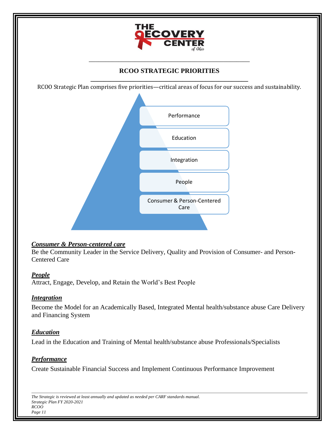

#### **RCOO STRATEGIC PRIORITIES \_\_\_\_\_\_\_\_\_\_\_\_\_\_\_\_\_\_\_\_\_\_\_\_\_\_\_\_\_\_\_\_\_\_\_\_\_\_\_\_\_\_\_\_\_\_\_\_**

\_\_\_\_\_\_\_\_\_\_\_\_\_\_\_\_\_\_\_\_\_\_\_\_\_\_\_\_\_\_\_\_\_\_\_\_\_\_\_\_\_\_\_\_\_\_\_\_\_

RCOO Strategic Plan comprises five priorities—critical areas of focus for our success and sustainability.



#### *Consumer & [Person-centered](http://www.hopkinsmedicine.org/strategic_plan/patient_and_family_centered_care.html) care*

Be the Community Leader in the Service Delivery, Quality and Provision of Consumer- and Person-[Centered Care](http://www.hopkinsmedicine.org/strategic_plan/people.html)

#### *[People](http://www.hopkinsmedicine.org/strategic_plan/people.html)*

Attract, Engage, Develop, and Retain the World's Best People

#### *[Integration](http://www.hopkinsmedicine.org/strategic_plan/integration.html)*

Become the Model for an Academically Based, Integrated Mental health/substance abuse Care Delivery and Financing System

#### *[Education](http://www.hopkinsmedicine.org/strategic_plan/education.html)*

Lead in the Education and Training of Mental health/substance abuse Professionals/Specialists

#### *[Performance](http://www.hopkinsmedicine.org/strategic_plan/performance.html)*

Create Sustainable Financial Success and Implement Continuous Performance Improvement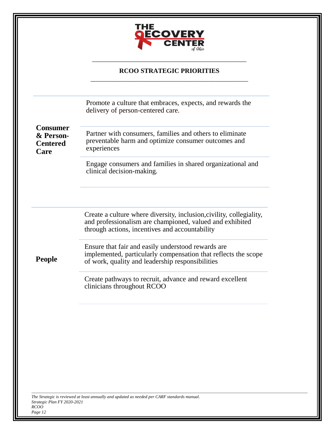

#### **RCOO STRATEGIC PRIORITIES**

\_\_\_\_\_\_\_\_\_\_\_\_\_\_\_\_\_\_\_\_\_\_\_\_\_\_\_\_\_\_\_\_\_\_\_\_\_\_\_\_\_\_\_\_\_\_\_

|                                                         | Promote a culture that embraces, expects, and rewards the<br>delivery of person-centered care.                                                                                     |
|---------------------------------------------------------|------------------------------------------------------------------------------------------------------------------------------------------------------------------------------------|
| <b>Consumer</b><br>& Person-<br><b>Centered</b><br>Care | Partner with consumers, families and others to eliminate<br>preventable harm and optimize consumer outcomes and<br>experiences                                                     |
|                                                         | Engage consumers and families in shared organizational and<br>clinical decision-making.                                                                                            |
|                                                         | Create a culture where diversity, inclusion, civility, collegiality,<br>and professionalism are championed, valued and exhibited<br>through actions, incentives and accountability |
| <b>People</b>                                           | Ensure that fair and easily understood rewards are.<br>implemented, particularly compensation that reflects the scope<br>of work, quality and leadership responsibilities          |
|                                                         | Create pathways to recruit, advance and reward excellent<br>clinicians throughout RCOO                                                                                             |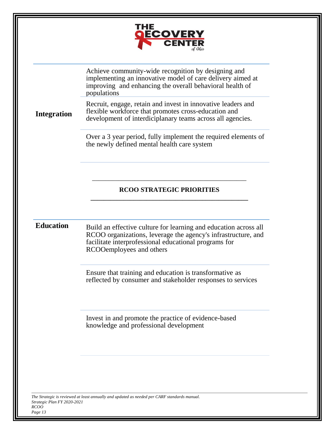|                    | Achieve community-wide recognition by designing and<br>implementing an innovative model of care delivery aimed at<br>improving and enhancing the overall behavioral health of<br>populations                           |
|--------------------|------------------------------------------------------------------------------------------------------------------------------------------------------------------------------------------------------------------------|
| <b>Integration</b> | Recruit, engage, retain and invest in innovative leaders and<br>flexible workforce that promotes cross-education and<br>development of interdiciplanary teams across all agencies.                                     |
|                    | Over a 3 year period, fully implement the required elements of<br>the newly defined mental health care system                                                                                                          |
|                    | <b>RCOO STRATEGIC PRIORITIES</b>                                                                                                                                                                                       |
| <b>Education</b>   | Build an effective culture for learning and education across all<br>RCOO organizations, leverage the agency's infrastructure, and<br>facilitate interprofessional educational programs for<br>RCOOemployees and others |
|                    | Ensure that training and education is transformative as<br>reflected by consumer and stakeholder responses to services                                                                                                 |
|                    | Invest in and promote the practice of evidence-based<br>knowledge and professional development                                                                                                                         |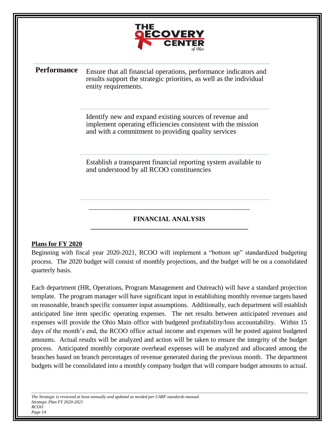

#### **Performance** Ensure that all financial operations, performance indicators and results support the strategic priorities, as well as the individual entity requirements.

Identify new and expand existing sources of revenue and implement operating efficiencies consistent with the mission and with a commitment to providing quality services

Establish a transparent financial reporting system available to and understood by all RCOO constituencies

#### **FINANCIAL ANALYSIS \_\_\_\_\_\_\_\_\_\_\_\_\_\_\_\_\_\_\_\_\_\_\_\_\_\_\_\_\_\_\_\_\_\_\_\_\_\_\_\_\_\_\_\_\_\_\_\_**

\_\_\_\_\_\_\_\_\_\_\_\_\_\_\_\_\_\_\_\_\_\_\_\_\_\_\_\_\_\_\_\_\_\_\_\_\_\_\_\_\_\_\_\_\_\_\_\_\_

#### **Plans for FY 2020**

Beginning with fiscal year 2020-2021, RCOO will implement a "bottom up" standardized budgeting process. The 2020 budget will consist of monthly projections, and the budget will be on a consolidated quarterly basis.

Each department (HR, Operations, Program Management and Outreach) will have a standard projection template. The program manager will have significant input in establishing monthly revenue targets based on reasonable, branch specific consumer input assumptions. Additionally, each department will establish anticipated line item specific operating expenses. The net results between anticipated revenues and expenses will provide the Ohio Main office with budgeted profitability/loss accountability. Within 15 days of the month's end, the RCOO office actual income and expenses will be posted against budgeted amounts. Actual results will be analyzed and action will be taken to ensure the integrity of the budget process. Anticipated monthly corporate overhead expenses will be analyzed and allocated among the branches based on branch percentages of revenue generated during the previous month. The department budgets will be consolidated into a monthly company budget that will compare budget amounts to actual.